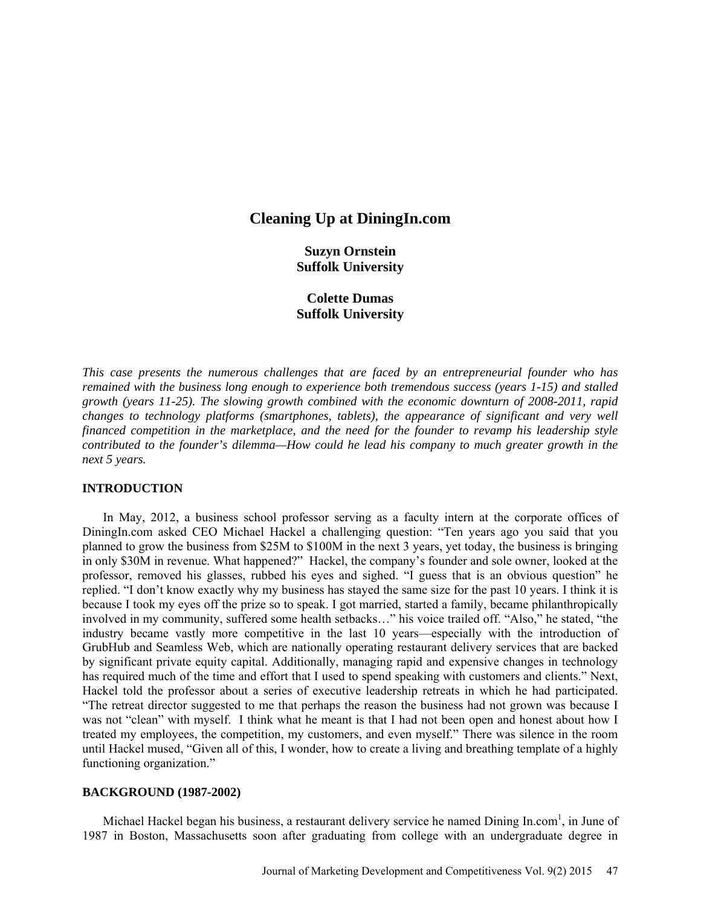# **Cleaning Up at DiningIn.com**

**Suzyn Ornstein Suffolk University**

# **Colette Dumas Suffolk University**

*This case presents the numerous challenges that are faced by an entrepreneurial founder who has remained with the business long enough to experience both tremendous success (years 1-15) and stalled growth (years 11-25). The slowing growth combined with the economic downturn of 2008-2011, rapid changes to technology platforms (smartphones, tablets), the appearance of significant and very well financed competition in the marketplace, and the need for the founder to revamp his leadership style contributed to the founder's dilemma—How could he lead his company to much greater growth in the next 5 years.*

# **INTRODUCTION**

In May, 2012, a business school professor serving as a faculty intern at the corporate offices of DiningIn.com asked CEO Michael Hackel a challenging question: "Ten years ago you said that you planned to grow the business from \$25M to \$100M in the next 3 years, yet today, the business is bringing in only \$30M in revenue. What happened?" Hackel, the company's founder and sole owner, looked at the professor, removed his glasses, rubbed his eyes and sighed. "I guess that is an obvious question" he replied. "I don't know exactly why my business has stayed the same size for the past 10 years. I think it is because I took my eyes off the prize so to speak. I got married, started a family, became philanthropically involved in my community, suffered some health setbacks…" his voice trailed off. "Also," he stated, "the industry became vastly more competitive in the last 10 years—especially with the introduction of GrubHub and Seamless Web, which are nationally operating restaurant delivery services that are backed by significant private equity capital. Additionally, managing rapid and expensive changes in technology has required much of the time and effort that I used to spend speaking with customers and clients." Next, Hackel told the professor about a series of executive leadership retreats in which he had participated. "The retreat director suggested to me that perhaps the reason the business had not grown was because I was not "clean" with myself. I think what he meant is that I had not been open and honest about how I treated my employees, the competition, my customers, and even myself." There was silence in the room until Hackel mused, "Given all of this, I wonder, how to create a living and breathing template of a highly functioning organization."

# **BACKGROUND (1987-2002)**

Michael Hackel began his business, a restaurant delivery service he named Dining In.com<sup>1</sup>, in June of 1987 in Boston, Massachusetts soon after graduating from college with an undergraduate degree in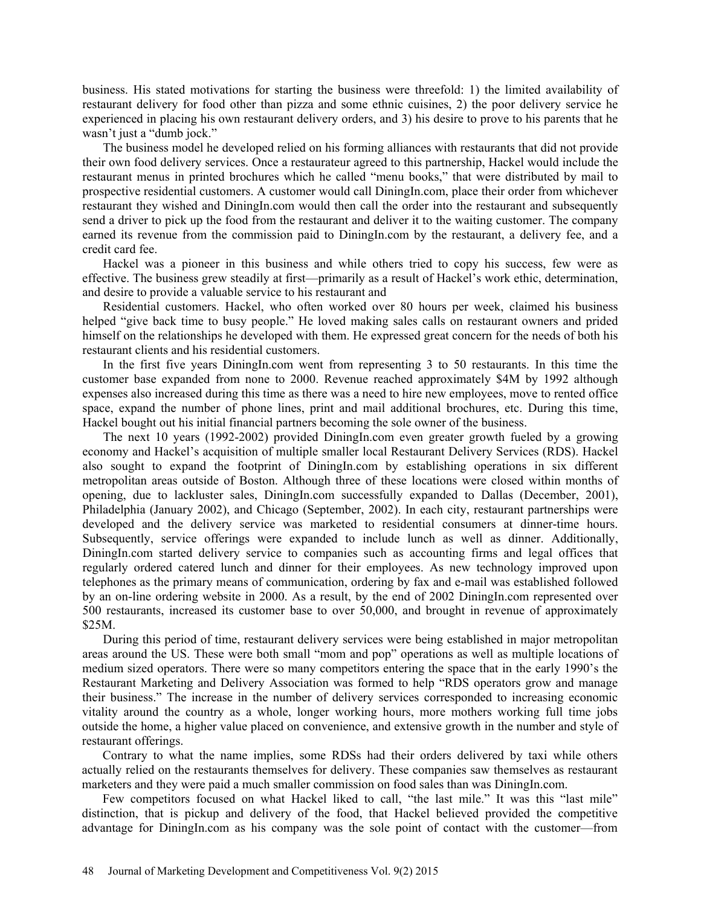business. His stated motivations for starting the business were threefold: 1) the limited availability of restaurant delivery for food other than pizza and some ethnic cuisines, 2) the poor delivery service he experienced in placing his own restaurant delivery orders, and 3) his desire to prove to his parents that he wasn't just a "dumb jock."

The business model he developed relied on his forming alliances with restaurants that did not provide their own food delivery services. Once a restaurateur agreed to this partnership, Hackel would include the restaurant menus in printed brochures which he called "menu books," that were distributed by mail to prospective residential customers. A customer would call DiningIn.com, place their order from whichever restaurant they wished and DiningIn.com would then call the order into the restaurant and subsequently send a driver to pick up the food from the restaurant and deliver it to the waiting customer. The company earned its revenue from the commission paid to DiningIn.com by the restaurant, a delivery fee, and a credit card fee.

Hackel was a pioneer in this business and while others tried to copy his success, few were as effective. The business grew steadily at first—primarily as a result of Hackel's work ethic, determination, and desire to provide a valuable service to his restaurant and

Residential customers. Hackel, who often worked over 80 hours per week, claimed his business helped "give back time to busy people." He loved making sales calls on restaurant owners and prided himself on the relationships he developed with them. He expressed great concern for the needs of both his restaurant clients and his residential customers.

In the first five years DiningIn.com went from representing 3 to 50 restaurants. In this time the customer base expanded from none to 2000. Revenue reached approximately \$4M by 1992 although expenses also increased during this time as there was a need to hire new employees, move to rented office space, expand the number of phone lines, print and mail additional brochures, etc. During this time, Hackel bought out his initial financial partners becoming the sole owner of the business.

The next 10 years (1992-2002) provided DiningIn.com even greater growth fueled by a growing economy and Hackel's acquisition of multiple smaller local Restaurant Delivery Services (RDS). Hackel also sought to expand the footprint of DiningIn.com by establishing operations in six different metropolitan areas outside of Boston. Although three of these locations were closed within months of opening, due to lackluster sales, DiningIn.com successfully expanded to Dallas (December, 2001), Philadelphia (January 2002), and Chicago (September, 2002). In each city, restaurant partnerships were developed and the delivery service was marketed to residential consumers at dinner-time hours. Subsequently, service offerings were expanded to include lunch as well as dinner. Additionally, DiningIn.com started delivery service to companies such as accounting firms and legal offices that regularly ordered catered lunch and dinner for their employees. As new technology improved upon telephones as the primary means of communication, ordering by fax and e-mail was established followed by an on-line ordering website in 2000. As a result, by the end of 2002 DiningIn.com represented over 500 restaurants, increased its customer base to over 50,000, and brought in revenue of approximately \$25M.

During this period of time, restaurant delivery services were being established in major metropolitan areas around the US. These were both small "mom and pop" operations as well as multiple locations of medium sized operators. There were so many competitors entering the space that in the early 1990's the Restaurant Marketing and Delivery Association was formed to help "RDS operators grow and manage their business." The increase in the number of delivery services corresponded to increasing economic vitality around the country as a whole, longer working hours, more mothers working full time jobs outside the home, a higher value placed on convenience, and extensive growth in the number and style of restaurant offerings.

Contrary to what the name implies, some RDSs had their orders delivered by taxi while others actually relied on the restaurants themselves for delivery. These companies saw themselves as restaurant marketers and they were paid a much smaller commission on food sales than was DiningIn.com.

Few competitors focused on what Hackel liked to call, "the last mile." It was this "last mile" distinction, that is pickup and delivery of the food, that Hackel believed provided the competitive advantage for DiningIn.com as his company was the sole point of contact with the customer—from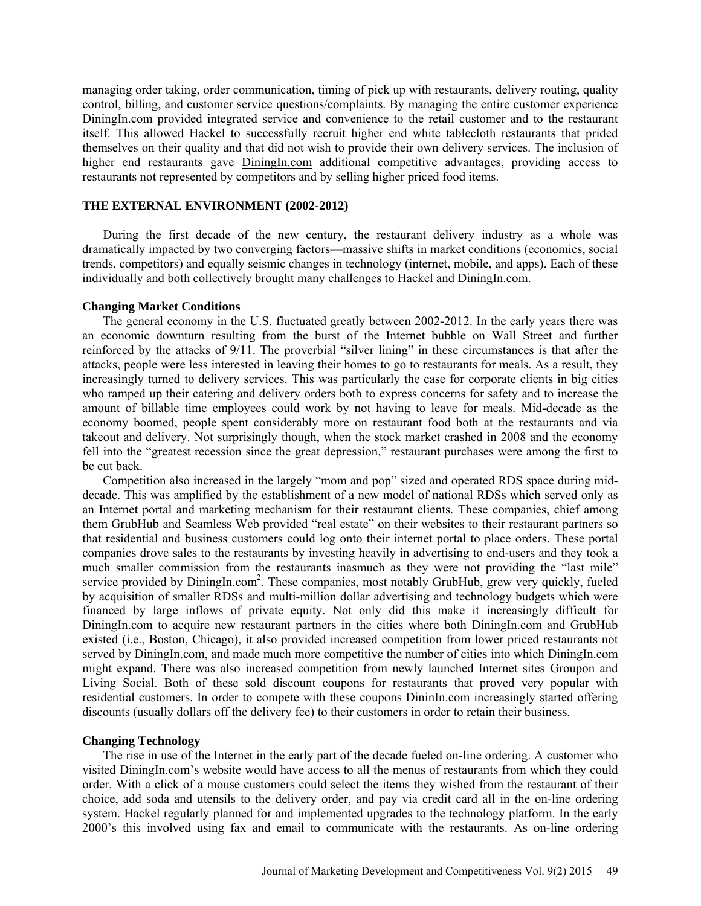managing order taking, order communication, timing of pick up with restaurants, delivery routing, quality control, billing, and customer service questions/complaints. By managing the entire customer experience DiningIn.com provided integrated service and convenience to the retail customer and to the restaurant itself. This allowed Hackel to successfully recruit higher end white tablecloth restaurants that prided themselves on their quality and that did not wish to provide their own delivery services. The inclusion of higher end restaurants gave [DiningIn.com](http://diningin.com/) additional competitive advantages, providing access to restaurants not represented by competitors and by selling higher priced food items.

### **THE EXTERNAL ENVIRONMENT (2002-2012)**

During the first decade of the new century, the restaurant delivery industry as a whole was dramatically impacted by two converging factors—massive shifts in market conditions (economics, social trends, competitors) and equally seismic changes in technology (internet, mobile, and apps). Each of these individually and both collectively brought many challenges to Hackel and DiningIn.com.

#### **Changing Market Conditions**

The general economy in the U.S. fluctuated greatly between 2002-2012. In the early years there was an economic downturn resulting from the burst of the Internet bubble on Wall Street and further reinforced by the attacks of 9/11. The proverbial "silver lining" in these circumstances is that after the attacks, people were less interested in leaving their homes to go to restaurants for meals. As a result, they increasingly turned to delivery services. This was particularly the case for corporate clients in big cities who ramped up their catering and delivery orders both to express concerns for safety and to increase the amount of billable time employees could work by not having to leave for meals. Mid-decade as the economy boomed, people spent considerably more on restaurant food both at the restaurants and via takeout and delivery. Not surprisingly though, when the stock market crashed in 2008 and the economy fell into the "greatest recession since the great depression," restaurant purchases were among the first to be cut back.

Competition also increased in the largely "mom and pop" sized and operated RDS space during middecade. This was amplified by the establishment of a new model of national RDSs which served only as an Internet portal and marketing mechanism for their restaurant clients. These companies, chief among them GrubHub and Seamless Web provided "real estate" on their websites to their restaurant partners so that residential and business customers could log onto their internet portal to place orders. These portal companies drove sales to the restaurants by investing heavily in advertising to end-users and they took a much smaller commission from the restaurants inasmuch as they were not providing the "last mile" service provided by DiningIn.com<sup>2</sup>. These companies, most notably GrubHub, grew very quickly, fueled by acquisition of smaller RDSs and multi-million dollar advertising and technology budgets which were financed by large inflows of private equity. Not only did this make it increasingly difficult for DiningIn.com to acquire new restaurant partners in the cities where both DiningIn.com and GrubHub existed (i.e., Boston, Chicago), it also provided increased competition from lower priced restaurants not served by DiningIn.com, and made much more competitive the number of cities into which DiningIn.com might expand. There was also increased competition from newly launched Internet sites Groupon and Living Social. Both of these sold discount coupons for restaurants that proved very popular with residential customers. In order to compete with these coupons DininIn.com increasingly started offering discounts (usually dollars off the delivery fee) to their customers in order to retain their business.

### **Changing Technology**

The rise in use of the Internet in the early part of the decade fueled on-line ordering. A customer who visited DiningIn.com's website would have access to all the menus of restaurants from which they could order. With a click of a mouse customers could select the items they wished from the restaurant of their choice, add soda and utensils to the delivery order, and pay via credit card all in the on-line ordering system. Hackel regularly planned for and implemented upgrades to the technology platform. In the early 2000's this involved using fax and email to communicate with the restaurants. As on-line ordering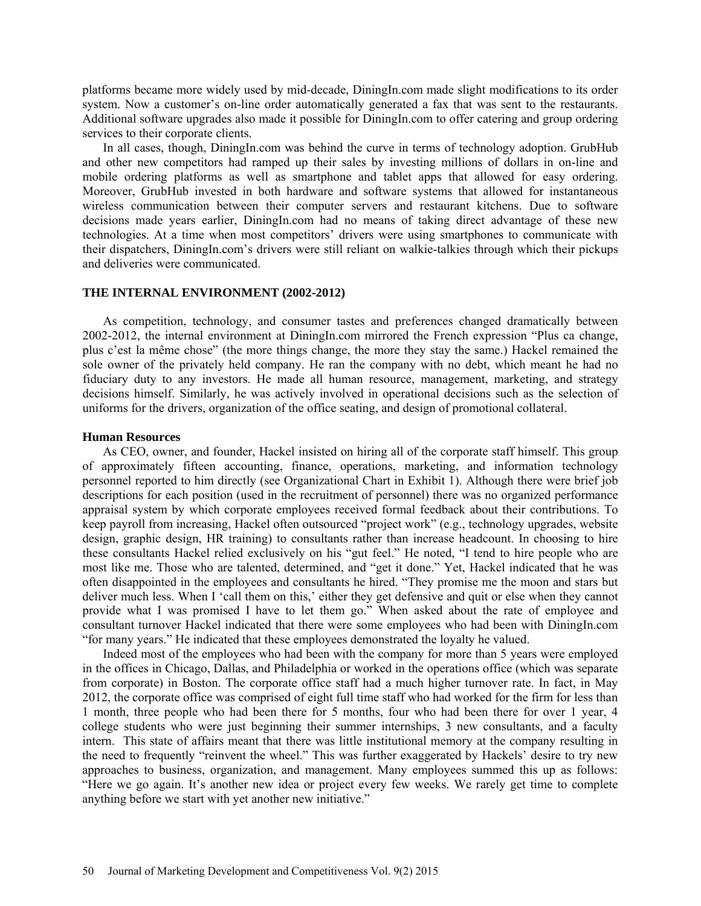platforms became more widely used by mid-decade, DiningIn.com made slight modifications to its order system. Now a customer's on-line order automatically generated a fax that was sent to the restaurants. Additional software upgrades also made it possible for DiningIn.com to offer catering and group ordering services to their corporate clients.

In all cases, though, DiningIn.com was behind the curve in terms of technology adoption. GrubHub and other new competitors had ramped up their sales by investing millions of dollars in on-line and mobile ordering platforms as well as smartphone and tablet apps that allowed for easy ordering. Moreover, GrubHub invested in both hardware and software systems that allowed for instantaneous wireless communication between their computer servers and restaurant kitchens. Due to software decisions made years earlier, DiningIn.com had no means of taking direct advantage of these new technologies. At a time when most competitors' drivers were using smartphones to communicate with their dispatchers, DiningIn.com's drivers were still reliant on walkie-talkies through which their pickups and deliveries were communicated.

### **THE INTERNAL ENVIRONMENT (2002-2012)**

As competition, technology, and consumer tastes and preferences changed dramatically between 2002-2012, the internal environment at DiningIn.com mirrored the French expression "Plus ca change, plus c'est la même chose" (the more things change, the more they stay the same.) Hackel remained the sole owner of the privately held company. He ran the company with no debt, which meant he had no fiduciary duty to any investors. He made all human resource, management, marketing, and strategy decisions himself. Similarly, he was actively involved in operational decisions such as the selection of uniforms for the drivers, organization of the office seating, and design of promotional collateral.

### **Human Resources**

As CEO, owner, and founder, Hackel insisted on hiring all of the corporate staff himself. This group of approximately fifteen accounting, finance, operations, marketing, and information technology personnel reported to him directly (see Organizational Chart in Exhibit 1). Although there were brief job descriptions for each position (used in the recruitment of personnel) there was no organized performance appraisal system by which corporate employees received formal feedback about their contributions. To keep payroll from increasing, Hackel often outsourced "project work" (e.g., technology upgrades, website design, graphic design, HR training) to consultants rather than increase headcount. In choosing to hire these consultants Hackel relied exclusively on his "gut feel." He noted, "I tend to hire people who are most like me. Those who are talented, determined, and "get it done." Yet, Hackel indicated that he was often disappointed in the employees and consultants he hired. "They promise me the moon and stars but deliver much less. When I 'call them on this,' either they get defensive and quit or else when they cannot provide what I was promised I have to let them go." When asked about the rate of employee and consultant turnover Hackel indicated that there were some employees who had been with DiningIn.com "for many years." He indicated that these employees demonstrated the loyalty he valued.

Indeed most of the employees who had been with the company for more than 5 years were employed in the offices in Chicago, Dallas, and Philadelphia or worked in the operations office (which was separate from corporate) in Boston. The corporate office staff had a much higher turnover rate. In fact, in May 2012, the corporate office was comprised of eight full time staff who had worked for the firm for less than 1 month, three people who had been there for 5 months, four who had been there for over 1 year, 4 college students who were just beginning their summer internships, 3 new consultants, and a faculty intern. This state of affairs meant that there was little institutional memory at the company resulting in the need to frequently "reinvent the wheel." This was further exaggerated by Hackels' desire to try new approaches to business, organization, and management. Many employees summed this up as follows: "Here we go again. It's another new idea or project every few weeks. We rarely get time to complete anything before we start with yet another new initiative."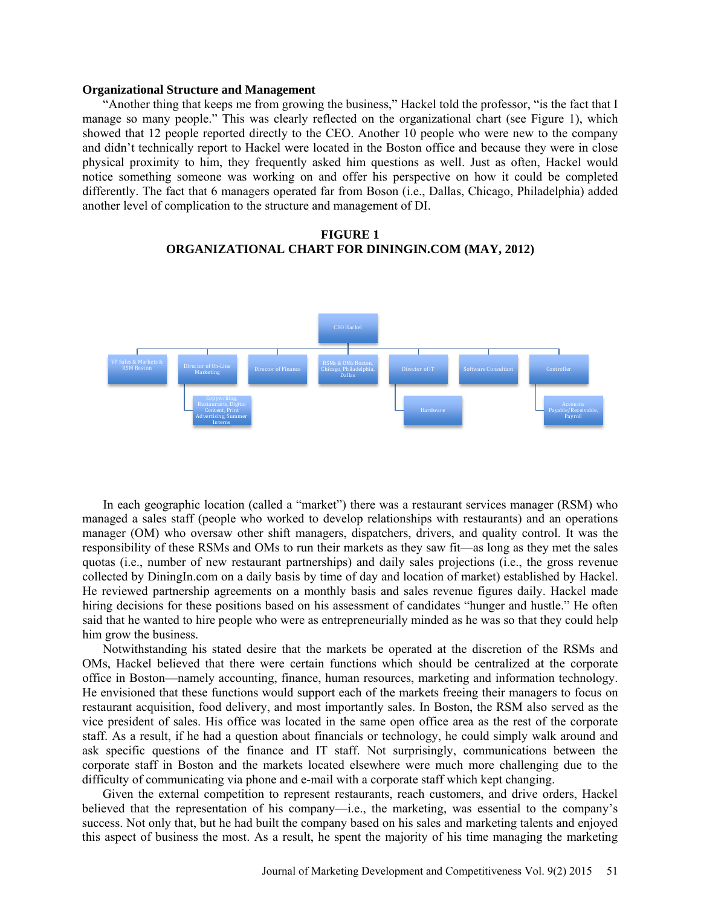### **Organizational Structure and Management**

"Another thing that keeps me from growing the business," Hackel told the professor, "is the fact that I manage so many people." This was clearly reflected on the organizational chart (see Figure 1), which showed that 12 people reported directly to the CEO. Another 10 people who were new to the company and didn't technically report to Hackel were located in the Boston office and because they were in close physical proximity to him, they frequently asked him questions as well. Just as often, Hackel would notice something someone was working on and offer his perspective on how it could be completed differently. The fact that 6 managers operated far from Boson (i.e., Dallas, Chicago, Philadelphia) added another level of complication to the structure and management of DI.

# **FIGURE 1 ORGANIZATIONAL CHART FOR DININGIN.COM (MAY, 2012)**



In each geographic location (called a "market") there was a restaurant services manager (RSM) who managed a sales staff (people who worked to develop relationships with restaurants) and an operations manager (OM) who oversaw other shift managers, dispatchers, drivers, and quality control. It was the responsibility of these RSMs and OMs to run their markets as they saw fit—as long as they met the sales quotas (i.e., number of new restaurant partnerships) and daily sales projections (i.e., the gross revenue collected by DiningIn.com on a daily basis by time of day and location of market) established by Hackel. He reviewed partnership agreements on a monthly basis and sales revenue figures daily. Hackel made hiring decisions for these positions based on his assessment of candidates "hunger and hustle." He often said that he wanted to hire people who were as entrepreneurially minded as he was so that they could help him grow the business.

Notwithstanding his stated desire that the markets be operated at the discretion of the RSMs and OMs, Hackel believed that there were certain functions which should be centralized at the corporate office in Boston—namely accounting, finance, human resources, marketing and information technology. He envisioned that these functions would support each of the markets freeing their managers to focus on restaurant acquisition, food delivery, and most importantly sales. In Boston, the RSM also served as the vice president of sales. His office was located in the same open office area as the rest of the corporate staff. As a result, if he had a question about financials or technology, he could simply walk around and ask specific questions of the finance and IT staff. Not surprisingly, communications between the corporate staff in Boston and the markets located elsewhere were much more challenging due to the difficulty of communicating via phone and e-mail with a corporate staff which kept changing.

Given the external competition to represent restaurants, reach customers, and drive orders, Hackel believed that the representation of his company—i.e., the marketing, was essential to the company's success. Not only that, but he had built the company based on his sales and marketing talents and enjoyed this aspect of business the most. As a result, he spent the majority of his time managing the marketing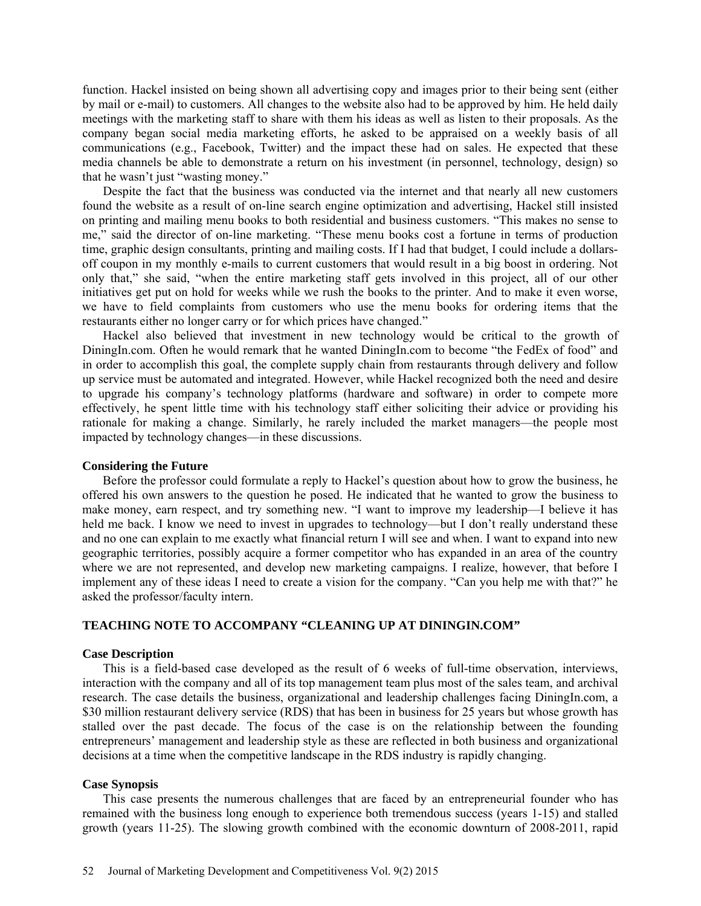function. Hackel insisted on being shown all advertising copy and images prior to their being sent (either by mail or e-mail) to customers. All changes to the website also had to be approved by him. He held daily meetings with the marketing staff to share with them his ideas as well as listen to their proposals. As the company began social media marketing efforts, he asked to be appraised on a weekly basis of all communications (e.g., Facebook, Twitter) and the impact these had on sales. He expected that these media channels be able to demonstrate a return on his investment (in personnel, technology, design) so that he wasn't just "wasting money."

Despite the fact that the business was conducted via the internet and that nearly all new customers found the website as a result of on-line search engine optimization and advertising, Hackel still insisted on printing and mailing menu books to both residential and business customers. "This makes no sense to me," said the director of on-line marketing. "These menu books cost a fortune in terms of production time, graphic design consultants, printing and mailing costs. If I had that budget, I could include a dollarsoff coupon in my monthly e-mails to current customers that would result in a big boost in ordering. Not only that," she said, "when the entire marketing staff gets involved in this project, all of our other initiatives get put on hold for weeks while we rush the books to the printer. And to make it even worse, we have to field complaints from customers who use the menu books for ordering items that the restaurants either no longer carry or for which prices have changed."

Hackel also believed that investment in new technology would be critical to the growth of DiningIn.com. Often he would remark that he wanted DiningIn.com to become "the FedEx of food" and in order to accomplish this goal, the complete supply chain from restaurants through delivery and follow up service must be automated and integrated. However, while Hackel recognized both the need and desire to upgrade his company's technology platforms (hardware and software) in order to compete more effectively, he spent little time with his technology staff either soliciting their advice or providing his rationale for making a change. Similarly, he rarely included the market managers—the people most impacted by technology changes—in these discussions.

### **Considering the Future**

Before the professor could formulate a reply to Hackel's question about how to grow the business, he offered his own answers to the question he posed. He indicated that he wanted to grow the business to make money, earn respect, and try something new. "I want to improve my leadership—I believe it has held me back. I know we need to invest in upgrades to technology—but I don't really understand these and no one can explain to me exactly what financial return I will see and when. I want to expand into new geographic territories, possibly acquire a former competitor who has expanded in an area of the country where we are not represented, and develop new marketing campaigns. I realize, however, that before I implement any of these ideas I need to create a vision for the company. "Can you help me with that?" he asked the professor/faculty intern.

### **TEACHING NOTE TO ACCOMPANY "CLEANING UP AT DININGIN.COM"**

### **Case Description**

This is a field-based case developed as the result of 6 weeks of full-time observation, interviews, interaction with the company and all of its top management team plus most of the sales team, and archival research. The case details the business, organizational and leadership challenges facing DiningIn.com, a \$30 million restaurant delivery service (RDS) that has been in business for 25 years but whose growth has stalled over the past decade. The focus of the case is on the relationship between the founding entrepreneurs' management and leadership style as these are reflected in both business and organizational decisions at a time when the competitive landscape in the RDS industry is rapidly changing.

#### **Case Synopsis**

This case presents the numerous challenges that are faced by an entrepreneurial founder who has remained with the business long enough to experience both tremendous success (years 1-15) and stalled growth (years 11-25). The slowing growth combined with the economic downturn of 2008-2011, rapid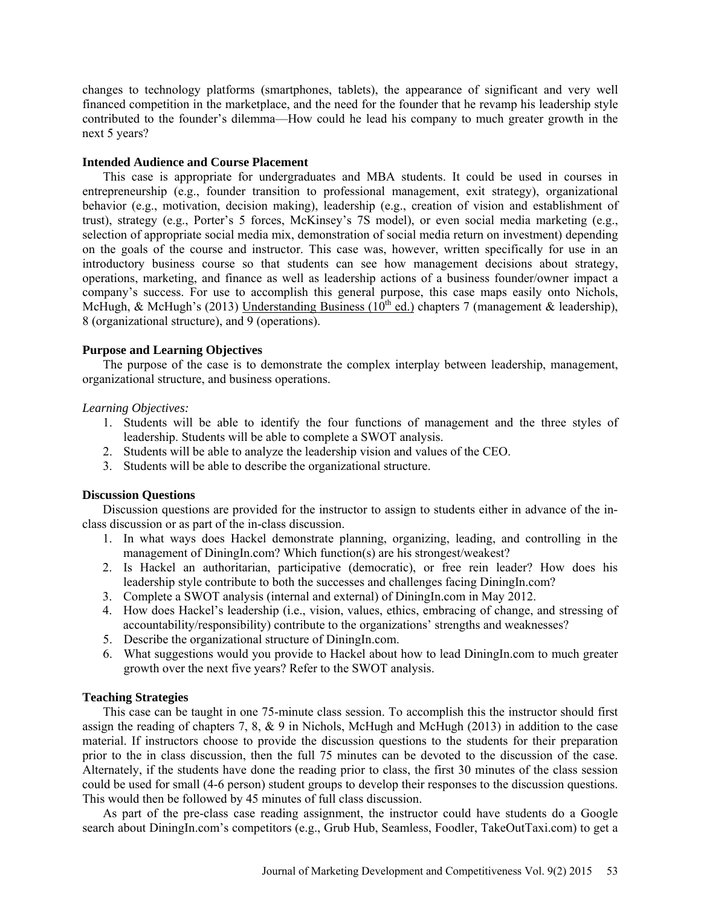changes to technology platforms (smartphones, tablets), the appearance of significant and very well financed competition in the marketplace, and the need for the founder that he revamp his leadership style contributed to the founder's dilemma—How could he lead his company to much greater growth in the next 5 years?

### **Intended Audience and Course Placement**

This case is appropriate for undergraduates and MBA students. It could be used in courses in entrepreneurship (e.g., founder transition to professional management, exit strategy), organizational behavior (e.g., motivation, decision making), leadership (e.g., creation of vision and establishment of trust), strategy (e.g., Porter's 5 forces, McKinsey's 7S model), or even social media marketing (e.g., selection of appropriate social media mix, demonstration of social media return on investment) depending on the goals of the course and instructor. This case was, however, written specifically for use in an introductory business course so that students can see how management decisions about strategy, operations, marketing, and finance as well as leadership actions of a business founder/owner impact a company's success. For use to accomplish this general purpose, this case maps easily onto Nichols, McHugh, & McHugh's (2013) Understanding Business (10<sup>th</sup> ed.) chapters 7 (management & leadership), 8 (organizational structure), and 9 (operations).

# **Purpose and Learning Objectives**

The purpose of the case is to demonstrate the complex interplay between leadership, management, organizational structure, and business operations.

# *Learning Objectives:*

- 1. Students will be able to identify the four functions of management and the three styles of leadership. Students will be able to complete a SWOT analysis.
- 2. Students will be able to analyze the leadership vision and values of the CEO.
- 3. Students will be able to describe the organizational structure.

# **Discussion Questions**

Discussion questions are provided for the instructor to assign to students either in advance of the inclass discussion or as part of the in-class discussion.

- 1. In what ways does Hackel demonstrate planning, organizing, leading, and controlling in the management of DiningIn.com? Which function(s) are his strongest/weakest?
- 2. Is Hackel an authoritarian, participative (democratic), or free rein leader? How does his leadership style contribute to both the successes and challenges facing DiningIn.com?
- 3. Complete a SWOT analysis (internal and external) of DiningIn.com in May 2012.
- 4. How does Hackel's leadership (i.e., vision, values, ethics, embracing of change, and stressing of accountability/responsibility) contribute to the organizations' strengths and weaknesses?
- 5. Describe the organizational structure of DiningIn.com.
- 6. What suggestions would you provide to Hackel about how to lead DiningIn.com to much greater growth over the next five years? Refer to the SWOT analysis.

# **Teaching Strategies**

This case can be taught in one 75-minute class session. To accomplish this the instructor should first assign the reading of chapters 7, 8, & 9 in Nichols, McHugh and McHugh (2013) in addition to the case material. If instructors choose to provide the discussion questions to the students for their preparation prior to the in class discussion, then the full 75 minutes can be devoted to the discussion of the case. Alternately, if the students have done the reading prior to class, the first 30 minutes of the class session could be used for small (4-6 person) student groups to develop their responses to the discussion questions. This would then be followed by 45 minutes of full class discussion.

As part of the pre-class case reading assignment, the instructor could have students do a Google search about DiningIn.com's competitors (e.g., Grub Hub, Seamless, Foodler, TakeOutTaxi.com) to get a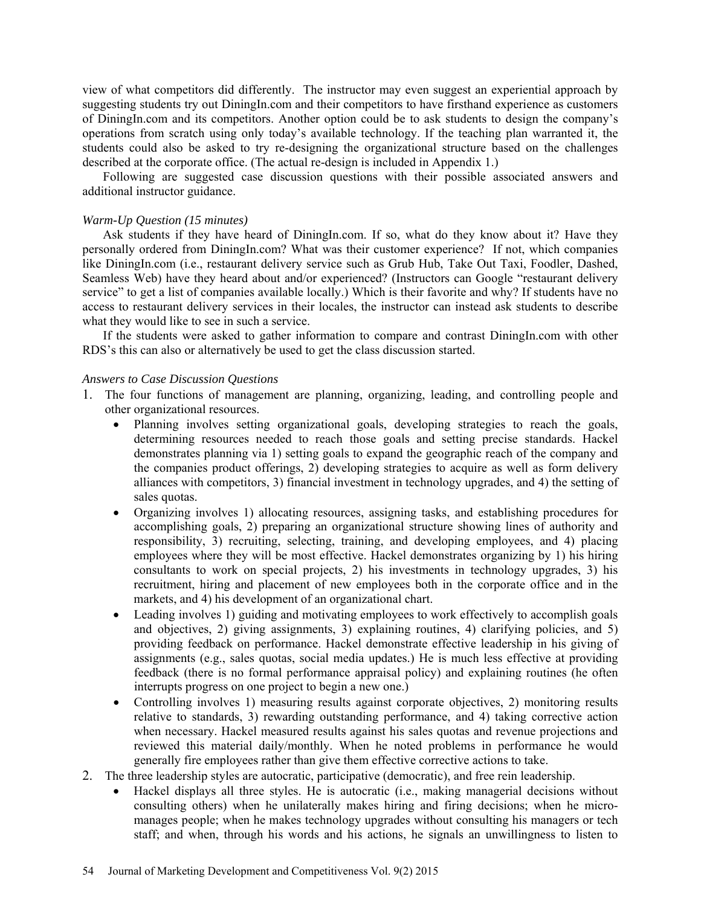view of what competitors did differently. The instructor may even suggest an experiential approach by suggesting students try out DiningIn.com and their competitors to have firsthand experience as customers of DiningIn.com and its competitors. Another option could be to ask students to design the company's operations from scratch using only today's available technology. If the teaching plan warranted it, the students could also be asked to try re-designing the organizational structure based on the challenges described at the corporate office. (The actual re-design is included in Appendix 1.)

Following are suggested case discussion questions with their possible associated answers and additional instructor guidance.

# *Warm-Up Question (15 minutes)*

Ask students if they have heard of DiningIn.com. If so, what do they know about it? Have they personally ordered from DiningIn.com? What was their customer experience? If not, which companies like DiningIn.com (i.e., restaurant delivery service such as Grub Hub, Take Out Taxi, Foodler, Dashed, Seamless Web) have they heard about and/or experienced? (Instructors can Google "restaurant delivery service" to get a list of companies available locally.) Which is their favorite and why? If students have no access to restaurant delivery services in their locales, the instructor can instead ask students to describe what they would like to see in such a service.

If the students were asked to gather information to compare and contrast DiningIn.com with other RDS's this can also or alternatively be used to get the class discussion started.

# *Answers to Case Discussion Questions*

- 1. The four functions of management are planning, organizing, leading, and controlling people and other organizational resources.
	- Planning involves setting organizational goals, developing strategies to reach the goals, determining resources needed to reach those goals and setting precise standards. Hackel demonstrates planning via 1) setting goals to expand the geographic reach of the company and the companies product offerings, 2) developing strategies to acquire as well as form delivery alliances with competitors, 3) financial investment in technology upgrades, and 4) the setting of sales quotas.
	- Organizing involves 1) allocating resources, assigning tasks, and establishing procedures for accomplishing goals, 2) preparing an organizational structure showing lines of authority and responsibility, 3) recruiting, selecting, training, and developing employees, and 4) placing employees where they will be most effective. Hackel demonstrates organizing by 1) his hiring consultants to work on special projects, 2) his investments in technology upgrades, 3) his recruitment, hiring and placement of new employees both in the corporate office and in the markets, and 4) his development of an organizational chart.
	- Leading involves 1) guiding and motivating employees to work effectively to accomplish goals and objectives, 2) giving assignments, 3) explaining routines, 4) clarifying policies, and 5) providing feedback on performance. Hackel demonstrate effective leadership in his giving of assignments (e.g., sales quotas, social media updates.) He is much less effective at providing feedback (there is no formal performance appraisal policy) and explaining routines (he often interrupts progress on one project to begin a new one.)
	- Controlling involves 1) measuring results against corporate objectives, 2) monitoring results relative to standards, 3) rewarding outstanding performance, and 4) taking corrective action when necessary. Hackel measured results against his sales quotas and revenue projections and reviewed this material daily/monthly. When he noted problems in performance he would generally fire employees rather than give them effective corrective actions to take.
- 2. The three leadership styles are autocratic, participative (democratic), and free rein leadership.
	- Hackel displays all three styles. He is autocratic (i.e., making managerial decisions without consulting others) when he unilaterally makes hiring and firing decisions; when he micromanages people; when he makes technology upgrades without consulting his managers or tech staff; and when, through his words and his actions, he signals an unwillingness to listen to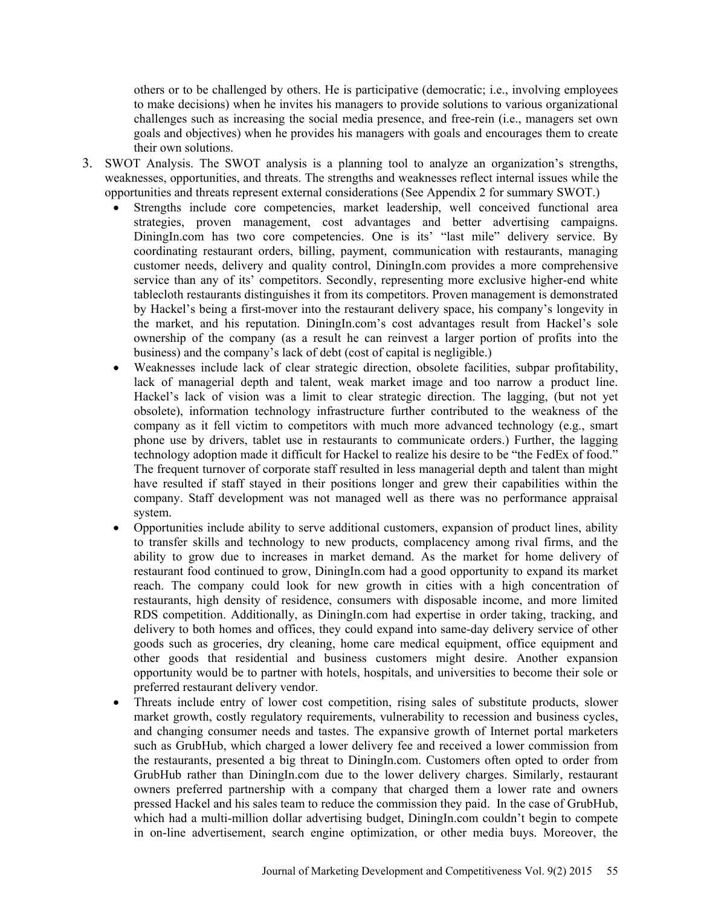others or to be challenged by others. He is participative (democratic; i.e., involving employees to make decisions) when he invites his managers to provide solutions to various organizational challenges such as increasing the social media presence, and free-rein (i.e., managers set own goals and objectives) when he provides his managers with goals and encourages them to create their own solutions.

- 3. SWOT Analysis. The SWOT analysis is a planning tool to analyze an organization's strengths, weaknesses, opportunities, and threats. The strengths and weaknesses reflect internal issues while the opportunities and threats represent external considerations (See Appendix 2 for summary SWOT.)
	- Strengths include core competencies, market leadership, well conceived functional area strategies, proven management, cost advantages and better advertising campaigns. DiningIn.com has two core competencies. One is its' "last mile" delivery service. By coordinating restaurant orders, billing, payment, communication with restaurants, managing customer needs, delivery and quality control, DiningIn.com provides a more comprehensive service than any of its' competitors. Secondly, representing more exclusive higher-end white tablecloth restaurants distinguishes it from its competitors. Proven management is demonstrated by Hackel's being a first-mover into the restaurant delivery space, his company's longevity in the market, and his reputation. DiningIn.com's cost advantages result from Hackel's sole ownership of the company (as a result he can reinvest a larger portion of profits into the business) and the company's lack of debt (cost of capital is negligible.)
	- Weaknesses include lack of clear strategic direction, obsolete facilities, subpar profitability, lack of managerial depth and talent, weak market image and too narrow a product line. Hackel's lack of vision was a limit to clear strategic direction. The lagging, (but not yet obsolete), information technology infrastructure further contributed to the weakness of the company as it fell victim to competitors with much more advanced technology (e.g., smart phone use by drivers, tablet use in restaurants to communicate orders.) Further, the lagging technology adoption made it difficult for Hackel to realize his desire to be "the FedEx of food." The frequent turnover of corporate staff resulted in less managerial depth and talent than might have resulted if staff stayed in their positions longer and grew their capabilities within the company. Staff development was not managed well as there was no performance appraisal system.
	- Opportunities include ability to serve additional customers, expansion of product lines, ability to transfer skills and technology to new products, complacency among rival firms, and the ability to grow due to increases in market demand. As the market for home delivery of restaurant food continued to grow, DiningIn.com had a good opportunity to expand its market reach. The company could look for new growth in cities with a high concentration of restaurants, high density of residence, consumers with disposable income, and more limited RDS competition. Additionally, as DiningIn.com had expertise in order taking, tracking, and delivery to both homes and offices, they could expand into same-day delivery service of other goods such as groceries, dry cleaning, home care medical equipment, office equipment and other goods that residential and business customers might desire. Another expansion opportunity would be to partner with hotels, hospitals, and universities to become their sole or preferred restaurant delivery vendor.
	- Threats include entry of lower cost competition, rising sales of substitute products, slower market growth, costly regulatory requirements, vulnerability to recession and business cycles, and changing consumer needs and tastes. The expansive growth of Internet portal marketers such as GrubHub, which charged a lower delivery fee and received a lower commission from the restaurants, presented a big threat to DiningIn.com. Customers often opted to order from GrubHub rather than DiningIn.com due to the lower delivery charges. Similarly, restaurant owners preferred partnership with a company that charged them a lower rate and owners pressed Hackel and his sales team to reduce the commission they paid. In the case of GrubHub, which had a multi-million dollar advertising budget, DiningIn.com couldn't begin to compete in on-line advertisement, search engine optimization, or other media buys. Moreover, the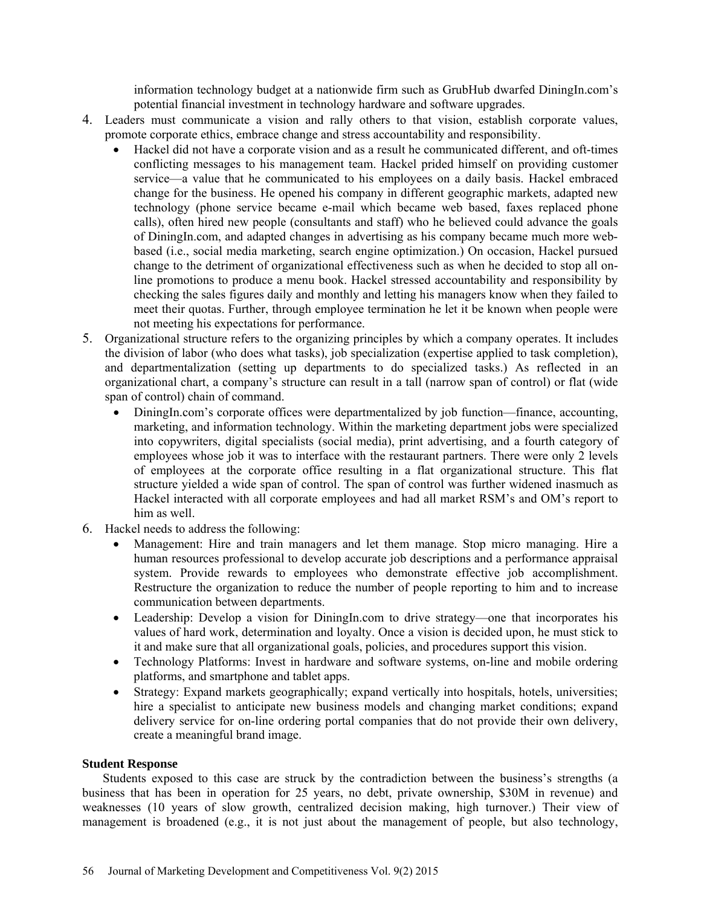information technology budget at a nationwide firm such as GrubHub dwarfed DiningIn.com's potential financial investment in technology hardware and software upgrades.

- 4. Leaders must communicate a vision and rally others to that vision, establish corporate values, promote corporate ethics, embrace change and stress accountability and responsibility.
	- Hackel did not have a corporate vision and as a result he communicated different, and oft-times conflicting messages to his management team. Hackel prided himself on providing customer service—a value that he communicated to his employees on a daily basis. Hackel embraced change for the business. He opened his company in different geographic markets, adapted new technology (phone service became e-mail which became web based, faxes replaced phone calls), often hired new people (consultants and staff) who he believed could advance the goals of DiningIn.com, and adapted changes in advertising as his company became much more webbased (i.e., social media marketing, search engine optimization.) On occasion, Hackel pursued change to the detriment of organizational effectiveness such as when he decided to stop all online promotions to produce a menu book. Hackel stressed accountability and responsibility by checking the sales figures daily and monthly and letting his managers know when they failed to meet their quotas. Further, through employee termination he let it be known when people were not meeting his expectations for performance.
- 5. Organizational structure refers to the organizing principles by which a company operates. It includes the division of labor (who does what tasks), job specialization (expertise applied to task completion), and departmentalization (setting up departments to do specialized tasks.) As reflected in an organizational chart, a company's structure can result in a tall (narrow span of control) or flat (wide span of control) chain of command.
	- DiningIn.com's corporate offices were departmentalized by job function—finance, accounting, marketing, and information technology. Within the marketing department jobs were specialized into copywriters, digital specialists (social media), print advertising, and a fourth category of employees whose job it was to interface with the restaurant partners. There were only 2 levels of employees at the corporate office resulting in a flat organizational structure. This flat structure yielded a wide span of control. The span of control was further widened inasmuch as Hackel interacted with all corporate employees and had all market RSM's and OM's report to him as well.
- 6. Hackel needs to address the following:
	- Management: Hire and train managers and let them manage. Stop micro managing. Hire a human resources professional to develop accurate job descriptions and a performance appraisal system. Provide rewards to employees who demonstrate effective job accomplishment. Restructure the organization to reduce the number of people reporting to him and to increase communication between departments.
	- Leadership: Develop a vision for DiningIn.com to drive strategy—one that incorporates his values of hard work, determination and loyalty. Once a vision is decided upon, he must stick to it and make sure that all organizational goals, policies, and procedures support this vision.
	- Technology Platforms: Invest in hardware and software systems, on-line and mobile ordering platforms, and smartphone and tablet apps.
	- Strategy: Expand markets geographically; expand vertically into hospitals, hotels, universities; hire a specialist to anticipate new business models and changing market conditions; expand delivery service for on-line ordering portal companies that do not provide their own delivery, create a meaningful brand image.

# **Student Response**

Students exposed to this case are struck by the contradiction between the business's strengths (a business that has been in operation for 25 years, no debt, private ownership, \$30M in revenue) and weaknesses (10 years of slow growth, centralized decision making, high turnover.) Their view of management is broadened (e.g., it is not just about the management of people, but also technology,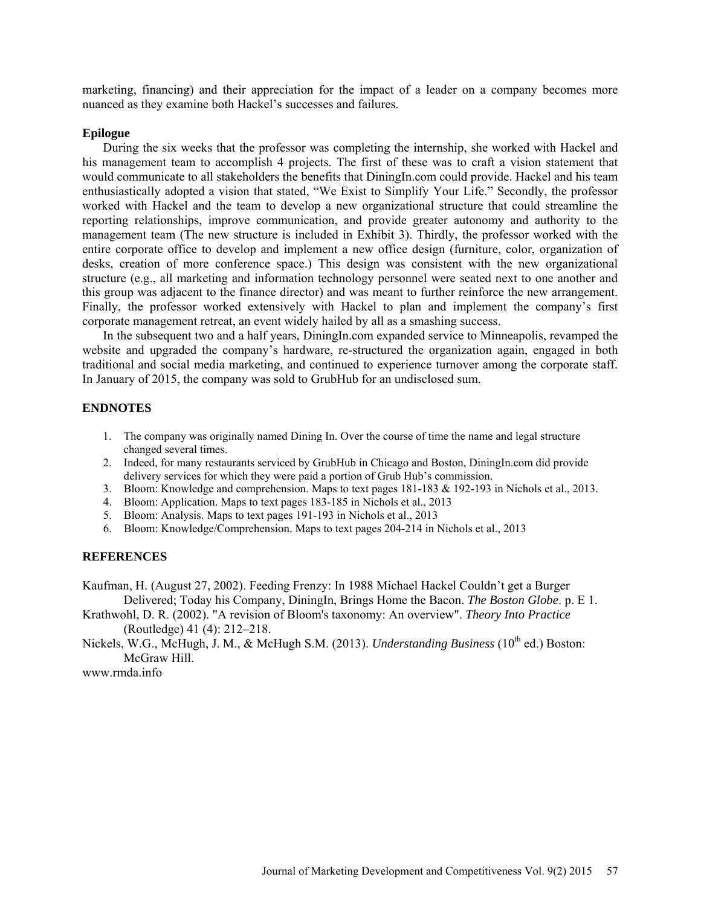marketing, financing) and their appreciation for the impact of a leader on a company becomes more nuanced as they examine both Hackel's successes and failures.

### **Epilogue**

During the six weeks that the professor was completing the internship, she worked with Hackel and his management team to accomplish 4 projects. The first of these was to craft a vision statement that would communicate to all stakeholders the benefits that DiningIn.com could provide. Hackel and his team enthusiastically adopted a vision that stated, "We Exist to Simplify Your Life." Secondly, the professor worked with Hackel and the team to develop a new organizational structure that could streamline the reporting relationships, improve communication, and provide greater autonomy and authority to the management team (The new structure is included in Exhibit 3). Thirdly, the professor worked with the entire corporate office to develop and implement a new office design (furniture, color, organization of desks, creation of more conference space.) This design was consistent with the new organizational structure (e.g., all marketing and information technology personnel were seated next to one another and this group was adjacent to the finance director) and was meant to further reinforce the new arrangement. Finally, the professor worked extensively with Hackel to plan and implement the company's first corporate management retreat, an event widely hailed by all as a smashing success.

In the subsequent two and a half years, DiningIn.com expanded service to Minneapolis, revamped the website and upgraded the company's hardware, re-structured the organization again, engaged in both traditional and social media marketing, and continued to experience turnover among the corporate staff. In January of 2015, the company was sold to GrubHub for an undisclosed sum.

# **ENDNOTES**

- 1. The company was originally named Dining In. Over the course of time the name and legal structure changed several times.
- 2. Indeed, for many restaurants serviced by GrubHub in Chicago and Boston, DiningIn.com did provide delivery services for which they were paid a portion of Grub Hub's commission.
- 3. Bloom: Knowledge and comprehension. Maps to text pages 181-183 & 192-193 in Nichols et al., 2013.
- 4. Bloom: Application. Maps to text pages 183-185 in Nichols et al., 2013
- 5. Bloom: Analysis. Maps to text pages 191-193 in Nichols et al., 2013
- 6. Bloom: Knowledge/Comprehension. Maps to text pages 204-214 in Nichols et al., 2013

# **REFERENCES**

Kaufman, H. (August 27, 2002). Feeding Frenzy: In 1988 Michael Hackel Couldn't get a Burger Delivered; Today his Company, DiningIn, Brings Home the Bacon. *The Boston Globe*. p. E 1.

Krathwohl, D. R. (2002). "A revision of Bloom's taxonomy: An overview". *Theory Into Practice* (Routledge) 41 (4): 212–218.

Nickels, W.G., McHugh, J. M., & McHugh S.M. (2013). *Understanding Business* (10<sup>th</sup> ed.) Boston: McGraw Hill.

[www.rmda.info](http://www.rmda.info/)